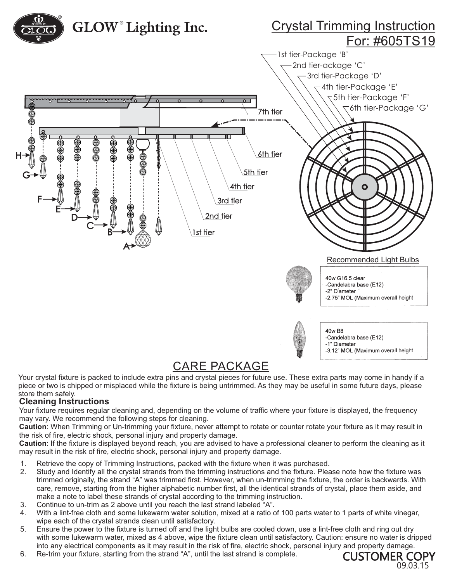

## CARE PACKAGE

Your crystal fixture is packed to include extra pins and crystal pieces for future use. These extra parts may come in handy if a piece or two is chipped or misplaced while the fixture is being untrimmed. As they may be useful in some future days, please store them safely.

## **Cleaning Instructions**

Your fixture requires regular cleaning and, depending on the volume of traffic where your fixture is displayed, the frequency may vary. We recommend the following steps for cleaning.

**Caution**: When Trimming or Un-trimming your fixture, never attempt to rotate or counter rotate your fixture as it may result in the risk of fire, electric shock, personal injury and property damage.

**Caution**: If the fixture is displayed beyond reach, you are advised to have a professional cleaner to perform the cleaning as it may result in the risk of fire, electric shock, personal injury and property damage.

- 1. Retrieve the copy of Trimming Instructions, packed with the fixture when it was purchased.
- 2. Study and Identify all the crystal strands from the trimming instructions and the fixture. Please note how the fixture was trimmed originally, the strand "A" was trimmed first. However, when un-trimming the fixture, the order is backwards. With care, remove, starting from the higher alphabetic number first, all the identical strands of crystal, place them aside, and make a note to label these strands of crystal according to the trimming instruction.
- 3. Continue to un-trim as 2 above until you reach the last strand labeled "A".
- 4. With a lint-free cloth and some lukewarm water solution, mixed at a ratio of 100 parts water to 1 parts of white vinegar, wipe each of the crystal strands clean until satisfactory.
- 5. Ensure the power to the fixture is turned off and the light bulbs are cooled down, use a lint-free cloth and ring out dry with some lukewarm water, mixed as 4 above, wipe the fixture clean until satisfactory. Caution: ensure no water is dripped into any electrical components as it may result in the risk of fire, electric shock, personal injury and property damage.
- 6. Re-trim your fixture, starting from the strand "A", until the last strand is complete.